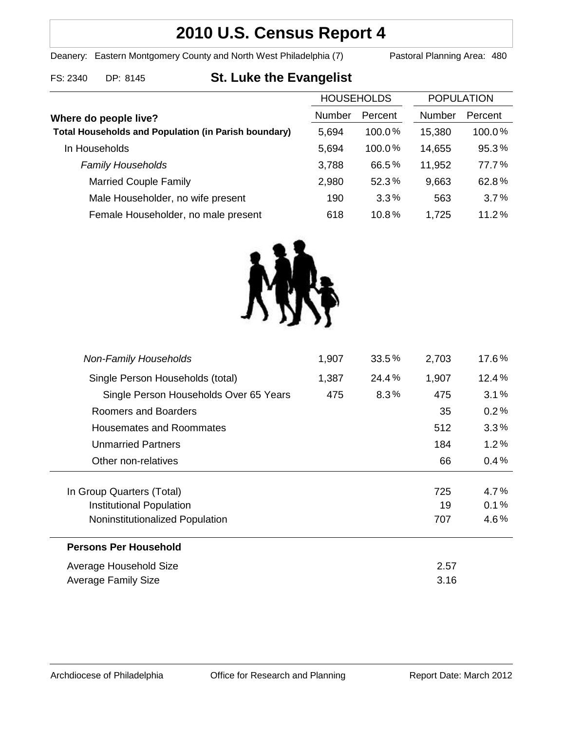## **2010 U.S. Census Report 4**

Deanery: Eastern Montgomery County and North West Philadelphia (7) Pastoral Planning Area: 480

# FS: 2340 DP: 8145 **St. Luke the Evangelist**

|                                                             | <b>HOUSEHOLDS</b> |           | <b>POPULATION</b> |         |
|-------------------------------------------------------------|-------------------|-----------|-------------------|---------|
| Where do people live?                                       | Number            | Percent   | <b>Number</b>     | Percent |
| <b>Total Households and Population (in Parish boundary)</b> | 5.694             | $100.0\%$ | 15,380            | 100.0%  |
| In Households                                               | 5,694             | 100.0%    | 14,655            | 95.3%   |
| <b>Family Households</b>                                    | 3,788             | 66.5%     | 11,952            | 77.7%   |
| <b>Married Couple Family</b>                                | 2,980             | 52.3%     | 9,663             | 62.8%   |
| Male Householder, no wife present                           | 190               | 3.3%      | 563               | 3.7%    |
| Female Householder, no male present                         | 618               | 10.8%     | 1,725             | 11.2%   |
|                                                             |                   |           |                   |         |



| <b>Non-Family Households</b>           | 1,907 | 33.5% | 2,703 | 17.6%   |
|----------------------------------------|-------|-------|-------|---------|
| Single Person Households (total)       | 1,387 | 24.4% | 1,907 | 12.4%   |
| Single Person Households Over 65 Years | 475   | 8.3%  | 475   | 3.1%    |
| Roomers and Boarders                   |       |       | 35    | 0.2%    |
| Housemates and Roommates               |       |       | 512   | 3.3%    |
| <b>Unmarried Partners</b>              |       |       | 184   | $1.2\%$ |
| Other non-relatives                    |       |       | 66    | 0.4%    |
| In Group Quarters (Total)              |       |       | 725   | 4.7%    |
| Institutional Population               |       |       | 19    | 0.1%    |
| Noninstitutionalized Population        |       |       | 707   | 4.6%    |
| <b>Persons Per Household</b>           |       |       |       |         |
| Average Household Size                 |       |       | 2.57  |         |
| <b>Average Family Size</b>             |       |       | 3.16  |         |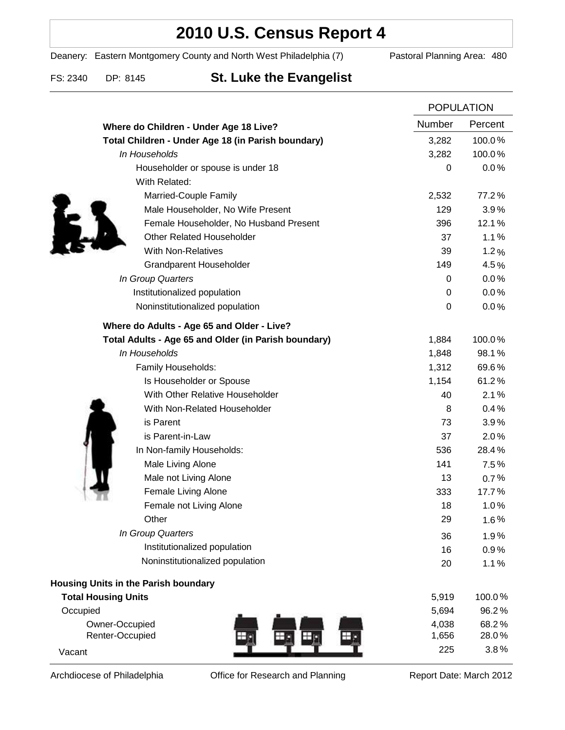### **2010 U.S. Census Report 4**

Deanery: Eastern Montgomery County and North West Philadelphia (7) Pastoral Planning Area: 480

### FS: 2340 DP: 8145 **St. Luke the Evangelist**

|                                                      |                  | <b>POPULATION</b> |  |
|------------------------------------------------------|------------------|-------------------|--|
| Where do Children - Under Age 18 Live?               | Number           | Percent           |  |
| Total Children - Under Age 18 (in Parish boundary)   | 3,282            | 100.0%            |  |
| In Households                                        | 3,282            | 100.0%            |  |
| Householder or spouse is under 18                    | 0                | 0.0%              |  |
| With Related:                                        |                  |                   |  |
| Married-Couple Family                                | 2,532            | 77.2%             |  |
| Male Householder, No Wife Present                    | 129              | 3.9%              |  |
| Female Householder, No Husband Present               | 396              | 12.1%             |  |
| <b>Other Related Householder</b>                     | 37               | 1.1%              |  |
| <b>With Non-Relatives</b>                            | 39               | 1.2%              |  |
| Grandparent Householder                              | 149              | 4.5%              |  |
| In Group Quarters                                    | 0                | 0.0%              |  |
| Institutionalized population                         | 0                | 0.0%              |  |
| Noninstitutionalized population                      | $\boldsymbol{0}$ | 0.0%              |  |
| Where do Adults - Age 65 and Older - Live?           |                  |                   |  |
| Total Adults - Age 65 and Older (in Parish boundary) | 1,884            | 100.0%            |  |
| In Households                                        | 1,848            | 98.1%             |  |
| Family Households:                                   | 1,312            | 69.6%             |  |
| Is Householder or Spouse                             | 1,154            | 61.2%             |  |
| With Other Relative Householder                      | 40               | 2.1%              |  |
| With Non-Related Householder                         | 8                | 0.4%              |  |
| is Parent                                            | 73               | 3.9%              |  |
| is Parent-in-Law                                     | 37               | 2.0%              |  |
| In Non-family Households:                            | 536              | 28.4%             |  |
| Male Living Alone                                    | 141              | 7.5%              |  |
| Male not Living Alone                                | 13               | 0.7%              |  |
| Female Living Alone                                  | 333              | 17.7%             |  |
| Female not Living Alone                              | 18               | 1.0%              |  |
| Other                                                | 29               | 1.6%              |  |
| In Group Quarters                                    | 36               | 1.9%              |  |
| Institutionalized population                         | 16               | 0.9%              |  |
| Noninstitutionalized population                      | 20               | 1.1%              |  |
| Housing Units in the Parish boundary                 |                  |                   |  |
| <b>Total Housing Units</b>                           | 5,919            | 100.0%            |  |
| Occupied                                             | 5,694            | 96.2%             |  |
| Owner-Occupied                                       | 4,038            | 68.2%             |  |
| Renter-Occupied                                      | 1,656            | 28.0%             |  |
| Vacant                                               | 225              | 3.8%              |  |

Archdiocese of Philadelphia **Office for Research and Planning** Report Date: March 2012